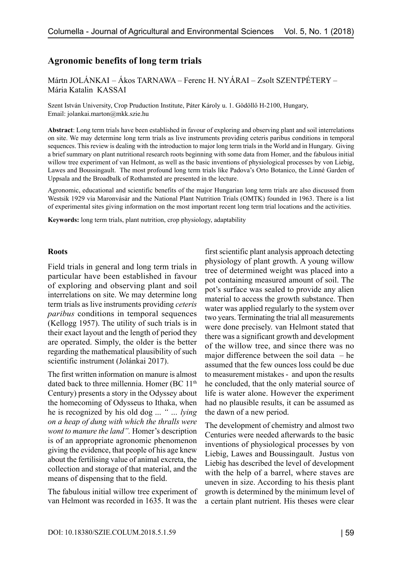# **Agronomic benefits of long term trials**

Mártn JOLÁNKAI – Ákos TARNAWA – Ferenc H. NYÁRAI – Zsolt SZENTPÉTERY – Mária Katalin KASSAI

Szent István University, Crop Pruduction Institute, Páter Károly u. 1. Gödöllő H-2100, Hungary, Email: jolankai.marton@mkk.szie.hu

**Abstract**: Long term trials have been established in favour of exploring and observing plant and soil interrelations on site. We may determine long term trials as live instruments providing ceteris paribus conditions in temporal sequences. This review is dealing with the introduction to major long term trials in the World and in Hungary. Giving a brief summary on plant nutritional research roots beginning with some data from Homer, and the fabulous initial willow tree experiment of van Helmont, as well as the basic inventions of physiological processes by von Liebig, Lawes and Boussingault. The most profound long term trials like Padova's Orto Botanico, the Linné Garden of Uppsala and the Broadbalk of Rothamsted are presented in the lecture.

Agronomic, educational and scientific benefits of the major Hungarian long term trials are also discussed from Westsik 1929 via Maronvásár and the National Plant Nutrition Trials (OMTK) founded in 1963. There is a list of experimental sites giving information on the most important recent long term trial locations and the activities.

**Keywords:** long term trials, plant nutrition, crop physiology, adaptability

#### **Roots**

Field trials in general and long term trials in particular have been established in favour of exploring and observing plant and soil interrelations on site. We may determine long term trials as live instruments providing *ceteris paribus* conditions in temporal sequences (Kellogg 1957). The utility of such trials is in their exact layout and the length of period they are operated. Simply, the older is the better regarding the mathematical plausibility of such scientific instrument (Jolánkai 2017).

The first written information on manure is almost dated back to three millennia. Homer (BC 11<sup>th</sup>) Century) presents a story in the Odyssey about the homecoming of Odysseus to Ithaka, when he is recognized by his old dog ... *" … lying on a heap of dung with which the thralls were wont to manure the land".* Homer's description is of an appropriate agronomic phenomenon giving the evidence, that people of his age knew about the fertilising value of animal excreta, the collection and storage of that material, and the means of dispensing that to the field.

The fabulous initial willow tree experiment of van Helmont was recorded in 1635. It was the

first scientific plant analysis approach detecting physiology of plant growth. A young willow tree of determined weight was placed into a pot containing measured amount of soil. The pot's surface was sealed to provide any alien material to access the growth substance. Then water was applied regularly to the system over two years. Terminating the trial all measurements were done precisely. van Helmont stated that there was a significant growth and development of the willow tree, and since there was no major difference between the soil data  $-$  he assumed that the few ounces loss could be due to measurement mistakes - and upon the results he concluded, that the only material source of life is water alone. However the experiment had no plausible results, it can be assumed as the dawn of a new period.

The development of chemistry and almost two Centuries were needed afterwards to the basic inventions of physiological processes by von Liebig, Lawes and Boussingault. Justus von Liebig has described the level of development with the help of a barrel, where staves are uneven in size. According to his thesis plant growth is determined by the minimum level of a certain plant nutrient. His theses were clear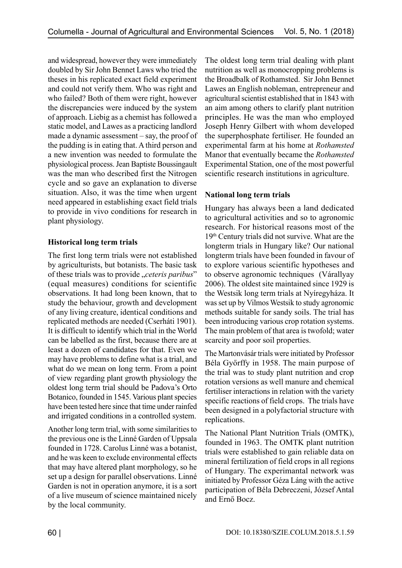and widespread, however they were immediately doubled by Sir John Bennet Laws who tried the theses in his replicated exact field experiment and could not verify them. Who was right and who failed? Both of them were right, however the discrepancies were induced by the system of approach. Liebig as a chemist has followed a static model, and Lawes as a practicing landlord made a dynamic assessment – say, the proof of the pudding is in eating that. A third person and a new invention was needed to formulate the physiological process. Jean Baptiste Boussingault was the man who described first the Nitrogen cycle and so gave an explanation to diverse situation. Also, it was the time when urgent need appeared in establishing exact field trials to provide in vivo conditions for research in plant physiology.

## **Historical long term trials**

The first long term trials were not established by agriculturists, but botanists. The basic task of these trials was to provide "*ceteris paribus*" (equal measures) conditions for scientific observations. It had long been known, that to study the behaviour, growth and development of any living creature, identical conditions and replicated methods are needed (Cserháti 1901). It is difficult to identify which trial in the World can be labelled as the first, because there are at least a dozen of candidates for that. Even we may have problems to define what is a trial, and what do we mean on long term. From a point of view regarding plant growth physiology the oldest long term trial should be Padova's Orto Botanico, founded in 1545. Various plant species have been tested here since that time under rainfed and irrigated conditions in a controlled system.

Another long term trial, with some similarities to the previous one is the Linné Garden of Uppsala founded in 1728. Carolus Linné was a botanist, and he was keen to exclude environmental effects that may have altered plant morphology, so he set up a design for parallel observations. Linné Garden is not in operation anymore, it is a sort of a live museum of science maintained nicely by the local community.

The oldest long term trial dealing with plant nutrition as well as monocropping problems is the Broadbalk of Rothamsted. Sir John Bennet Lawes an English nobleman, entrepreneur and agricultural scientist established that in 1843 with an aim among others to clarify plant nutrition principles. He was the man who employed Joseph Henry Gilbert with whom developed the superphosphate fertiliser. He founded an experimental farm at his home at *Rothamsted* Manor that eventually became the *Rothamsted* Experimental Station, one of the most powerful scientific research institutions in agriculture.

## **National long term trials**

Hungary has always been a land dedicated to agricultural activities and so to agronomic research. For historical reasons most of the 19th Century trials did not survive. What are the longterm trials in Hungary like? Our national longterm trials have been founded in favour of to explore various scientific hypotheses and to observe agronomic techniques (Várallyay 2006). The oldest site maintained since 1929 is the Westsik long term trials at Nyíregyháza. It was set up by Vilmos Westsik to study agronomic methods suitable for sandy soils. The trial has been introducing various crop rotation systems. The main problem of that area is twofold; water scarcity and poor soil properties.

The Martonvásár trials were initiated by Professor Béla Győrffy in 1958. The main purpose of the trial was to study plant nutrition and crop rotation versions as well manure and chemical fertiliser interactions in relation with the variety specific reactions of field crops. The trials have been designed in a polyfactorial structure with replications.

The National Plant Nutrition Trials (OMTK), founded in 1963. The OMTK plant nutrition trials were established to gain reliable data on mineral fertilization of field crops in all regions of Hungary. The experimantal network was initiated by Professor Géza Láng with the active participation of Béla Debreczeni, József Antal and Ernő Bocz.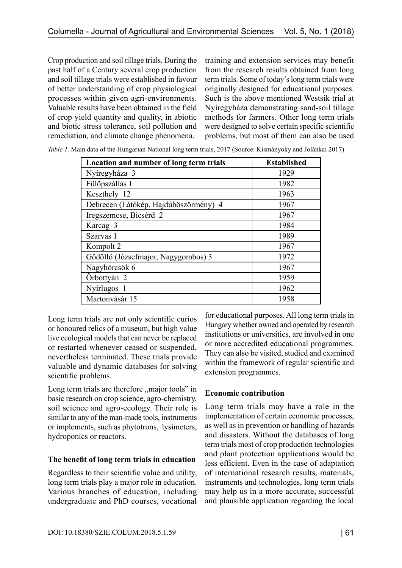Crop production and soil tillage trials. During the past half of a Century several crop production and soil tillage trials were established in favour of better understanding of crop physiological processes within given agri-environments. Valuable results have been obtained in the field of crop yield quantity and quality, in abiotic and biotic stress tolerance, soil pollution and remediation, and climate change phenomena.

training and extension services may benefit from the research results obtained from long term trials. Some of today's long term trials were originally designed for educational purposes. Such is the above mentioned Westsik trial at Nyíregyháza demonstrating sand-soil tillage methods for farmers. Other long term trials were designed to solve certain specific scientific problems, but most of them can also be used

| Location and number of long term trials | <b>Established</b> |
|-----------------------------------------|--------------------|
| Nyíregyháza 3                           | 1929               |
| Fülöpszállás 1                          | 1982               |
| Keszthely 12                            | 1963               |
| Debrecen (Látókép, Hajdúböszörmény) 4   | 1967               |
| Iregszemcse, Bicsérd 2                  | 1967               |
| Karcag 3                                | 1984               |
| Szarvas 1                               | 1989               |
| Kompolt 2                               | 1967               |
| Gödöllő (Józsefmajor, Nagygombos) 3     | 1972               |
| Nagyhörcsök 6                           | 1967               |
| Örbottyán 2                             | 1959               |
| Nyírlugos 1                             | 1962               |
| Martonvásár 15                          | 1958               |

*Table 1.* Main data of the Hungarian National long term trials, 2017 (Source: Kismányoky and Jolánkai 2017)

Long term trials are not only scientific curios or honoured relics of a museum, but high value live ecological models that can never be replaced or restarted whenever ceased or suspended, nevertheless terminated. These trials provide valuable and dynamic databases for solving scientific problems.

Long term trials are therefore "major tools" in basic research on crop science, agro-chemistry, soil science and agro-ecology. Their role is similar to any of the man-made tools, instruments or implements, such as phytotrons, lysimeters, hydroponics or reactors.

### **The benefit of long term trials in education**

Regardless to their scientific value and utility, long term trials play a major role in education. Various branches of education, including undergraduate and PhD courses, vocational

for educational purposes. All long term trials in Hungary whether owned and operated by research institutions or universities, are involved in one or more accredited educational programmes. They can also be visited, studied and examined within the framework of regular scientific and extension programmes.

## **Economic contribution**

Long term trials may have a role in the implementation of certain economic processes, as well as in prevention or handling of hazards and disasters. Without the databases of long term trials most of crop production technologies and plant protection applications would be less efficient. Even in the case of adaptation of international research results, materials, instruments and technologies, long term trials may help us in a more accurate, successful and plausible application regarding the local